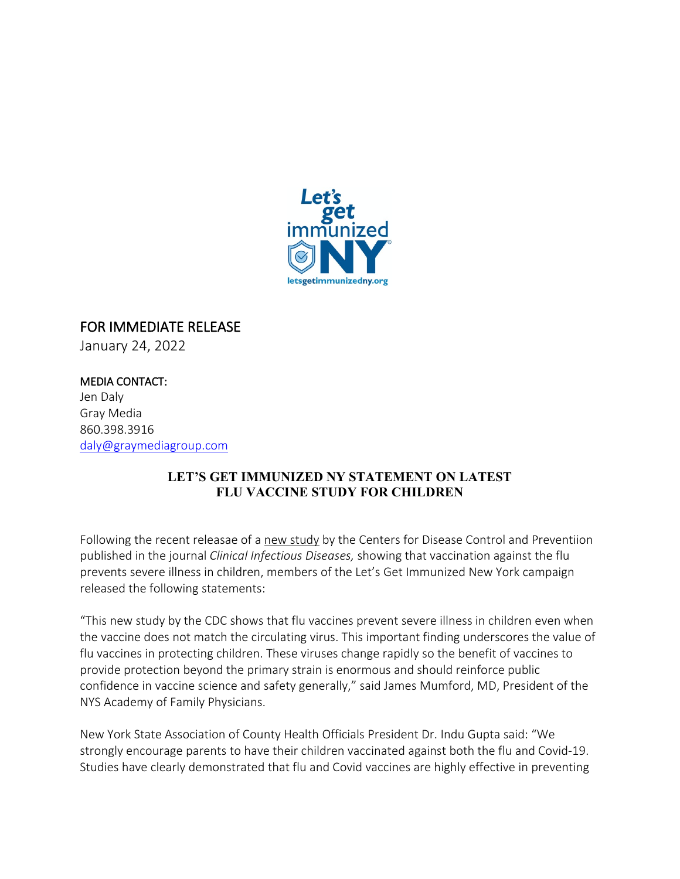

## FOR IMMEDIATE RELEASE January 24, 2022

MEDIA CONTACT: Jen Daly Gray Media 860.398.3916 [daly@graymediagroup.com](mailto:daly@graymediagroup.com)

## **LET'S GET IMMUNIZED NY STATEMENT ON LATEST FLU VACCINE STUDY FOR CHILDREN**

Following the recent releasae of a [new study](https://www.cdc.gov/media/releases/2022/p0113-flu-vaccine-children.html) by the Centers for Disease Control and Preventiion published in the journal *Clinical Infectious Diseases,* showing that vaccination against the flu prevents severe illness in children, members of the Let's Get Immunized New York campaign released the following statements:

"This new study by the CDC shows that flu vaccines prevent severe illness in children even when the vaccine does not match the circulating virus. This important finding underscores the value of flu vaccines in protecting children. These viruses change rapidly so the benefit of vaccines to provide protection beyond the primary strain is enormous and should reinforce public confidence in vaccine science and safety generally," said James Mumford, MD, President of the NYS Academy of Family Physicians.

New York State Association of County Health Officials President Dr. Indu Gupta said: "We strongly encourage parents to have their children vaccinated against both the flu and Covid-19. Studies have clearly demonstrated that flu and Covid vaccines are highly effective in preventing